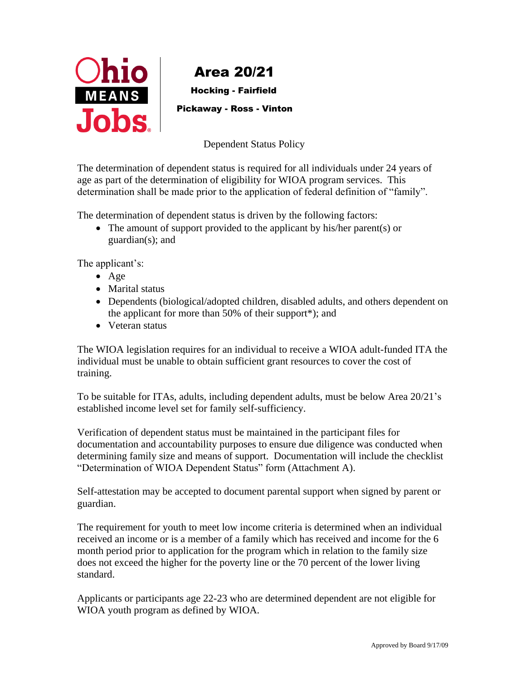

Hocking - Fairfield

Pickaway - Ross - Vinton

Dependent Status Policy

The determination of dependent status is required for all individuals under 24 years of age as part of the determination of eligibility for WIOA program services. This determination shall be made prior to the application of federal definition of "family".

The determination of dependent status is driven by the following factors:

• The amount of support provided to the applicant by his/her parent(s) or guardian(s); and

The applicant's:

- Age
- Marital status
- Dependents (biological/adopted children, disabled adults, and others dependent on the applicant for more than 50% of their support\*); and
- Veteran status

The WIOA legislation requires for an individual to receive a WIOA adult-funded ITA the individual must be unable to obtain sufficient grant resources to cover the cost of training.

To be suitable for ITAs, adults, including dependent adults, must be below Area 20/21's established income level set for family self-sufficiency.

Verification of dependent status must be maintained in the participant files for documentation and accountability purposes to ensure due diligence was conducted when determining family size and means of support. Documentation will include the checklist "Determination of WIOA Dependent Status" form (Attachment A).

Self-attestation may be accepted to document parental support when signed by parent or guardian.

The requirement for youth to meet low income criteria is determined when an individual received an income or is a member of a family which has received and income for the 6 month period prior to application for the program which in relation to the family size does not exceed the higher for the poverty line or the 70 percent of the lower living standard.

Applicants or participants age 22-23 who are determined dependent are not eligible for WIOA youth program as defined by WIOA.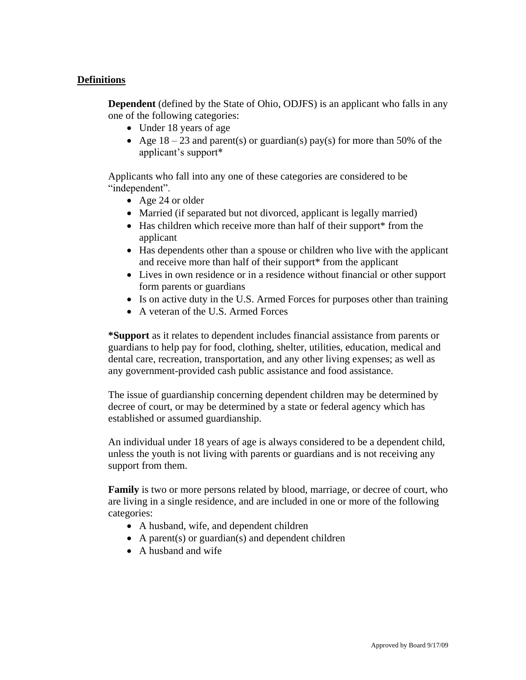# **Definitions**

**Dependent** (defined by the State of Ohio, ODJFS) is an applicant who falls in any one of the following categories:

- Under 18 years of age
- Age  $18 23$  and parent(s) or guardian(s) pay(s) for more than 50% of the applicant's support\*

Applicants who fall into any one of these categories are considered to be "independent".

- Age 24 or older
- Married (if separated but not divorced, applicant is legally married)
- Has children which receive more than half of their support\* from the applicant
- Has dependents other than a spouse or children who live with the applicant and receive more than half of their support\* from the applicant
- Lives in own residence or in a residence without financial or other support form parents or guardians
- Is on active duty in the U.S. Armed Forces for purposes other than training
- A veteran of the U.S. Armed Forces

**\*Support** as it relates to dependent includes financial assistance from parents or guardians to help pay for food, clothing, shelter, utilities, education, medical and dental care, recreation, transportation, and any other living expenses; as well as any government-provided cash public assistance and food assistance.

The issue of guardianship concerning dependent children may be determined by decree of court, or may be determined by a state or federal agency which has established or assumed guardianship.

An individual under 18 years of age is always considered to be a dependent child, unless the youth is not living with parents or guardians and is not receiving any support from them.

**Family** is two or more persons related by blood, marriage, or decree of court, who are living in a single residence, and are included in one or more of the following categories:

- A husband, wife, and dependent children
- A parent(s) or guardian(s) and dependent children
- A husband and wife